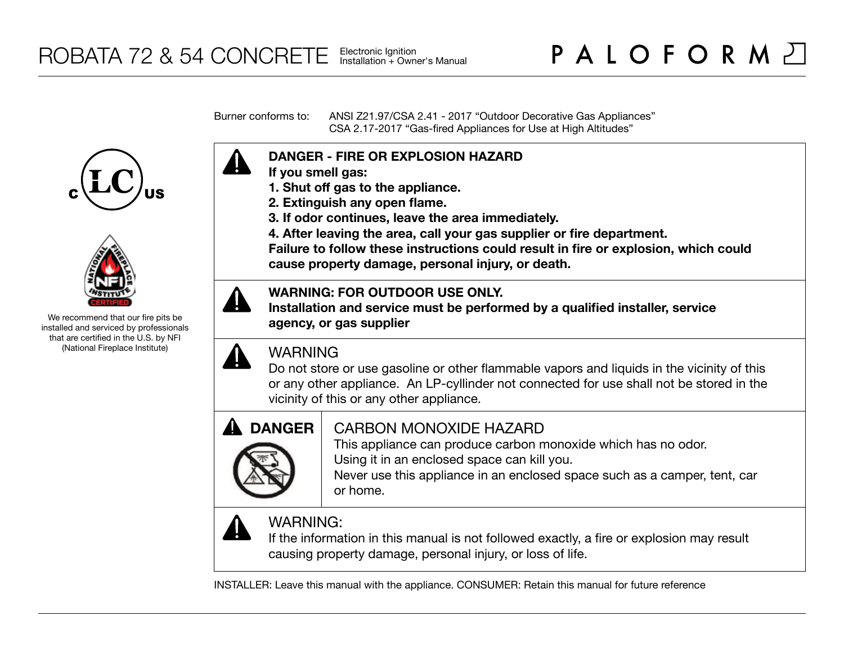Burner conforms to: ANSI Z21.97/CSA 2.41 - 2017 "Outdoor Decorative Gas Appliances" CSA 2.17-2017 "Gas-fired Appliances for Use at High Altitudes"





We recommend that our fire pits be installed and serviced by professionals that are certified in the U.S. by NFI (National Fireplace Institute)



- **If you smell gas:**
- **1. Shut off gas to the appliance.**
- **2. Extinguish any open flame.**
- **3. If odor continues, leave the area immediately.**
- **4. After leaving the area, call your gas supplier or fire department.**

**Failure to follow these instructions could result in fire or explosion, which could cause property damage, personal injury, or death.**

## **WARNING: FOR OUTDOOR USE ONLY.**

**Installation and service must be performed by a qualified installer, service agency, or gas supplier**

# WARNING

Do not store or use gasoline or other flammable vapors and liquids in the vicinity of this or any other appliance. An LP-cyllinder not connected for use shall not be stored in the vicinity of this or any other appliance.



# CARBON MONOXIDE HAZARD

This appliance can produce carbon monoxide which has no odor. Using it in an enclosed space can kill you.

Never use this appliance in an enclosed space such as a camper, tent, car or home.



# WARNING:

If the information in this manual is not followed exactly, a fire or explosion may result causing property damage, personal injury, or loss of life.

INSTALLER: Leave this manual with the appliance. CONSUMER: Retain this manual for future reference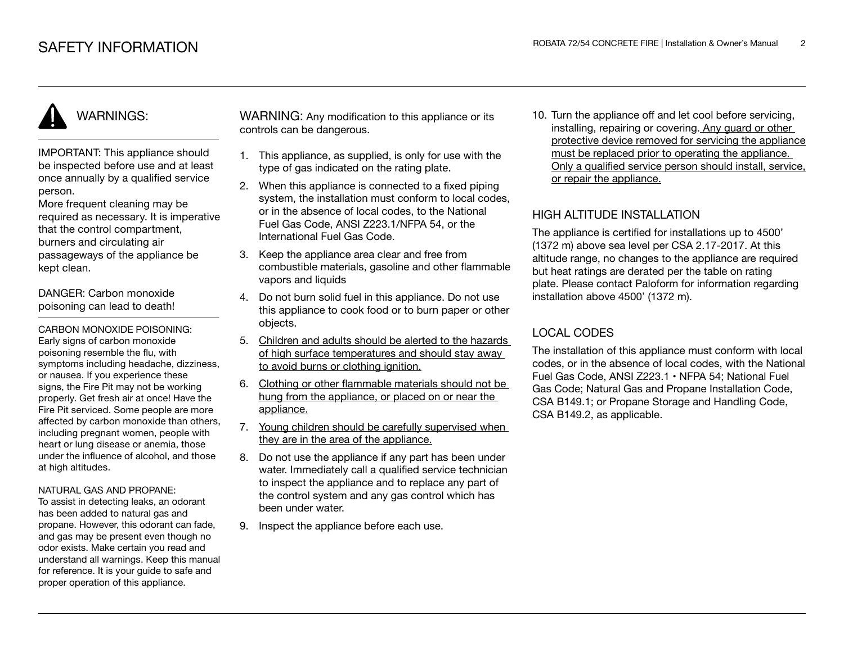# WARNINGS:

IMPORTANT: This appliance should be inspected before use and at least once annually by a qualified service person.

More frequent cleaning may be required as necessary. It is imperative that the control compartment, burners and circulating air passageways of the appliance be kept clean.

DANGER: Carbon monoxide poisoning can lead to death!

CARBON MONOXIDE POISONING: Early signs of carbon monoxide poisoning resemble the flu, with symptoms including headache, dizziness, or nausea. If you experience these signs, the Fire Pit may not be working properly. Get fresh air at once! Have the Fire Pit serviced. Some people are more affected by carbon monoxide than others, including pregnant women, people with heart or lung disease or anemia, those under the influence of alcohol, and those at high altitudes.

#### NATURAL GAS AND PROPANE:

To assist in detecting leaks, an odorant has been added to natural gas and propane. However, this odorant can fade, and gas may be present even though no odor exists. Make certain you read and understand all warnings. Keep this manual for reference. It is your guide to safe and proper operation of this appliance.

WARNING: Any modification to this appliance or its controls can be dangerous.

- 1. This appliance, as supplied, is only for use with the type of gas indicated on the rating plate.
- 2. When this appliance is connected to a fixed piping system, the installation must conform to local codes. or in the absence of local codes, to the National Fuel Gas Code, ANSI Z223.1/NFPA 54, or the International Fuel Gas Code.
- 3. Keep the appliance area clear and free from combustible materials, gasoline and other flammable vapors and liquids
- 4. Do not burn solid fuel in this appliance. Do not use this appliance to cook food or to burn paper or other objects.
- 5. Children and adults should be alerted to the hazards of high surface temperatures and should stay away to avoid burns or clothing ignition.
- 6. Clothing or other flammable materials should not be hung from the appliance, or placed on or near the appliance.
- 7. Young children should be carefully supervised when they are in the area of the appliance.
- 8. Do not use the appliance if any part has been under water. Immediately call a qualified service technician to inspect the appliance and to replace any part of the control system and any gas control which has been under water.
- 9. Inspect the appliance before each use.

10. Turn the appliance off and let cool before servicing, installing, repairing or covering. Any guard or other protective device removed for servicing the appliance must be replaced prior to operating the appliance. Only a qualified service person should install, service, or repair the appliance.

## HIGH ALTITUDE INSTALLATION

The appliance is certified for installations up to 4500' (1372 m) above sea level per CSA 2.17-2017. At this altitude range, no changes to the appliance are required but heat ratings are derated per the table on rating plate. Please contact Paloform for information regarding installation above 4500' (1372 m).

## LOCAL CODES

The installation of this appliance must conform with local codes, or in the absence of local codes, with the National Fuel Gas Code, ANSI Z223.1 • NFPA 54; National Fuel Gas Code; Natural Gas and Propane Installation Code, CSA B149.1; or Propane Storage and Handling Code, CSA B149.2, as applicable.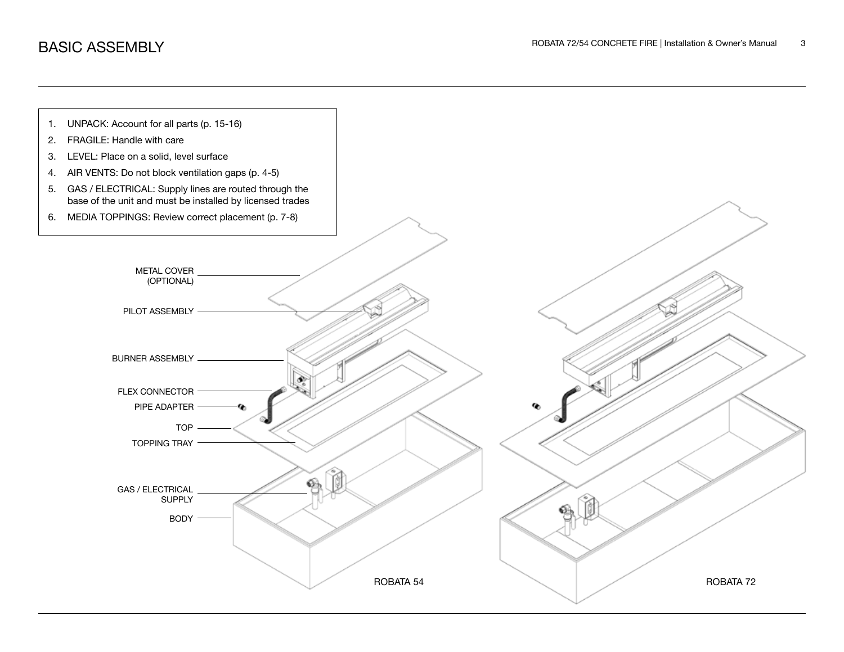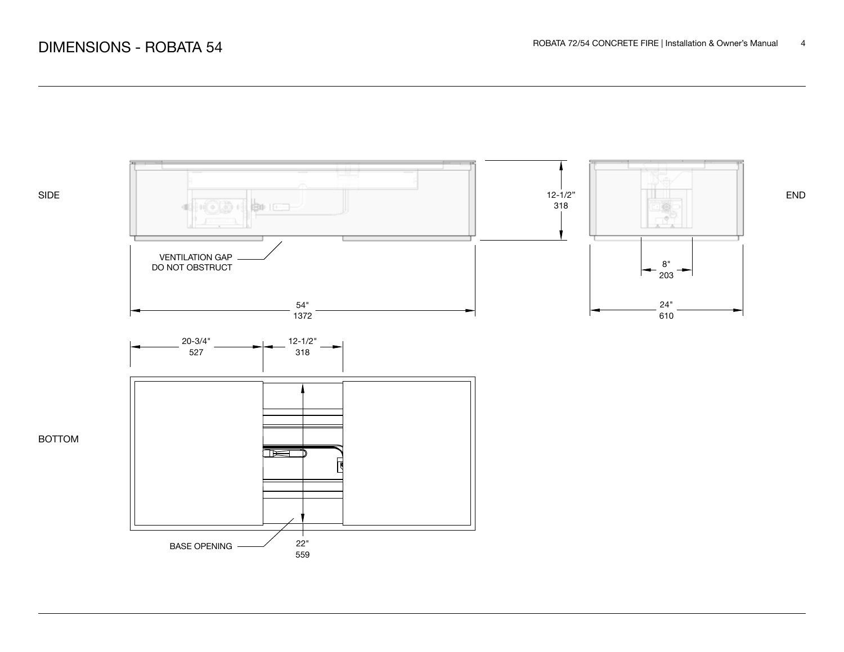

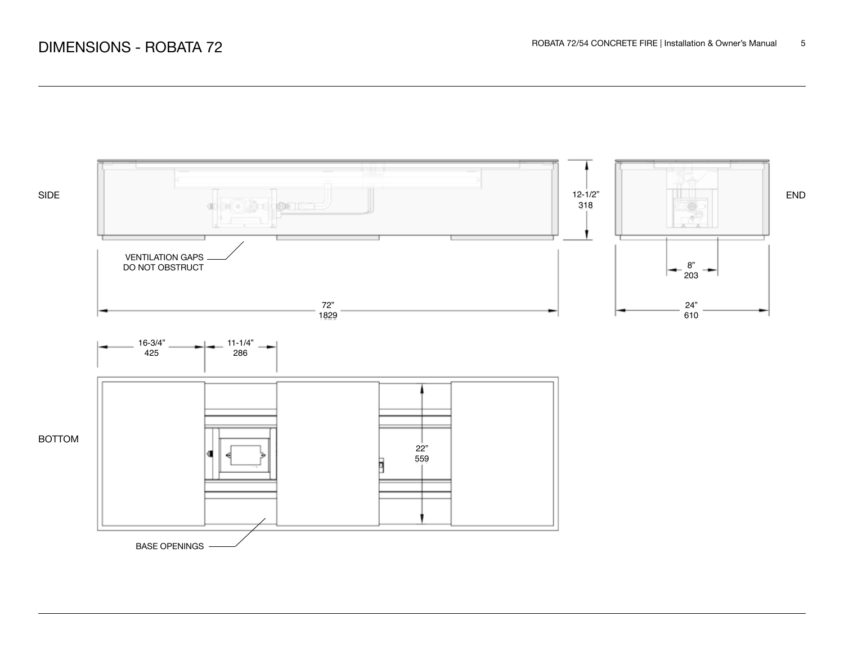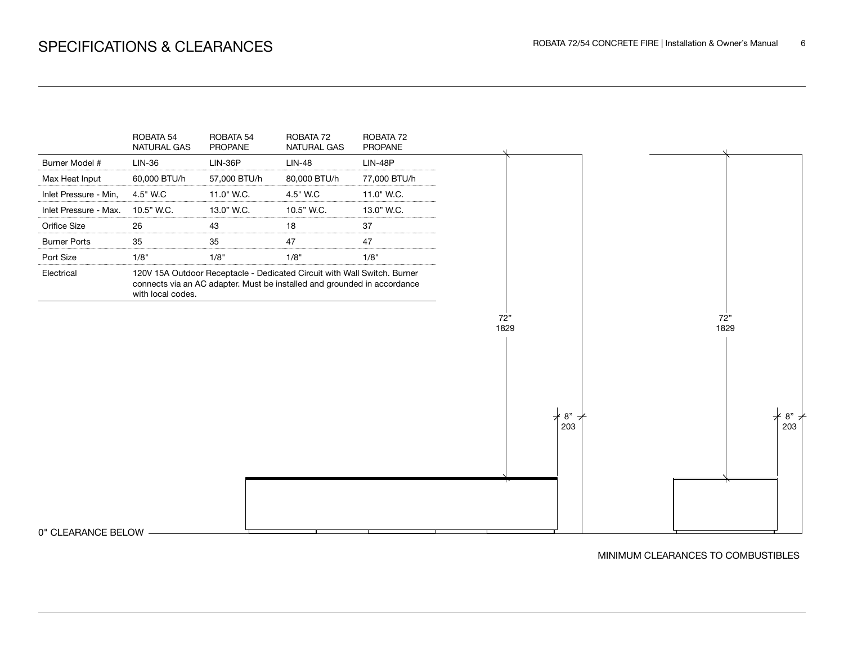

MINIMUM CLEARANCES TO COMBUSTIBLES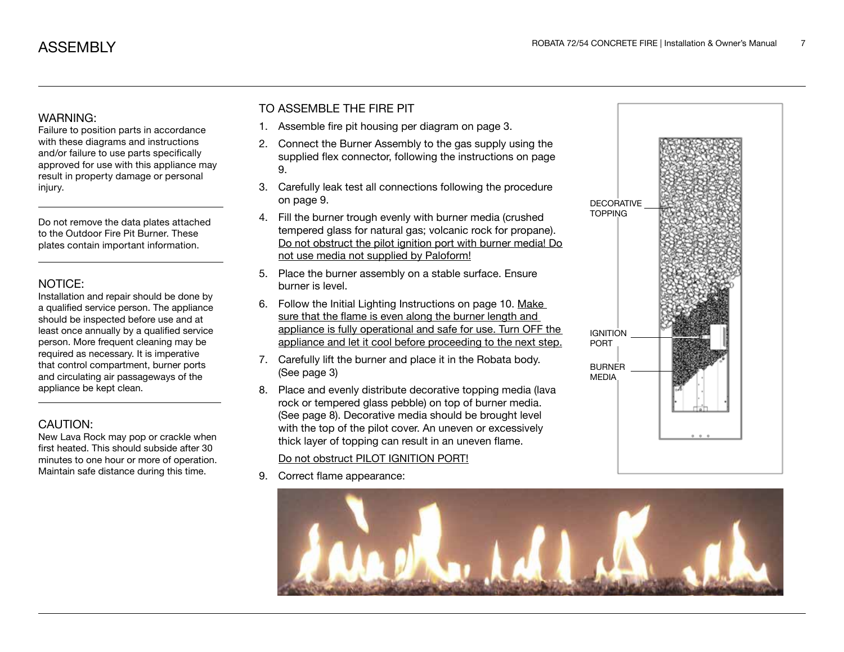#### WARNING:

Failure to position parts in accordance with these diagrams and instructions and/or failure to use parts specifically approved for use with this appliance may result in property damage or personal injury.

Do not remove the data plates attached to the Outdoor Fire Pit Burner. These plates contain important information.

#### NOTICE:

Installation and repair should be done by a qualified service person. The appliance should be inspected before use and at least once annually by a qualified service person. More frequent cleaning may be required as necessary. It is imperative that control compartment, burner ports and circulating air passageways of the appliance be kept clean.

## CAUTION:

New Lava Rock may pop or crackle when first heated. This should subside after 30 minutes to one hour or more of operation. Maintain safe distance during this time.

## TO ASSEMBLE THE FIRE PIT

- 1. Assemble fire pit housing per diagram on page 3.
- 2. Connect the Burner Assembly to the gas supply using the supplied flex connector, following the instructions on page 9.
- 3. Carefully leak test all connections following the procedure on page 9.
- 4. Fill the burner trough evenly with burner media (crushed tempered glass for natural gas; volcanic rock for propane). Do not obstruct the pilot ignition port with burner media! Do not use media not supplied by Paloform!
- 5. Place the burner assembly on a stable surface. Ensure burner is level.
- 6. Follow the Initial Lighting Instructions on page 10. Make sure that the flame is even along the burner length and appliance is fully operational and safe for use. Turn OFF the appliance and let it cool before proceeding to the next step.
- 7. Carefully lift the burner and place it in the Robata body. (See page 3)
- 8. Place and evenly distribute decorative topping media (lava rock or tempered glass pebble) on top of burner media. (See page 8). Decorative media should be brought level with the top of the pilot cover. An uneven or excessively thick layer of topping can result in an uneven flame.

### Do not obstruct PILOT IGNITION PORT!

9. Correct flame appearance:



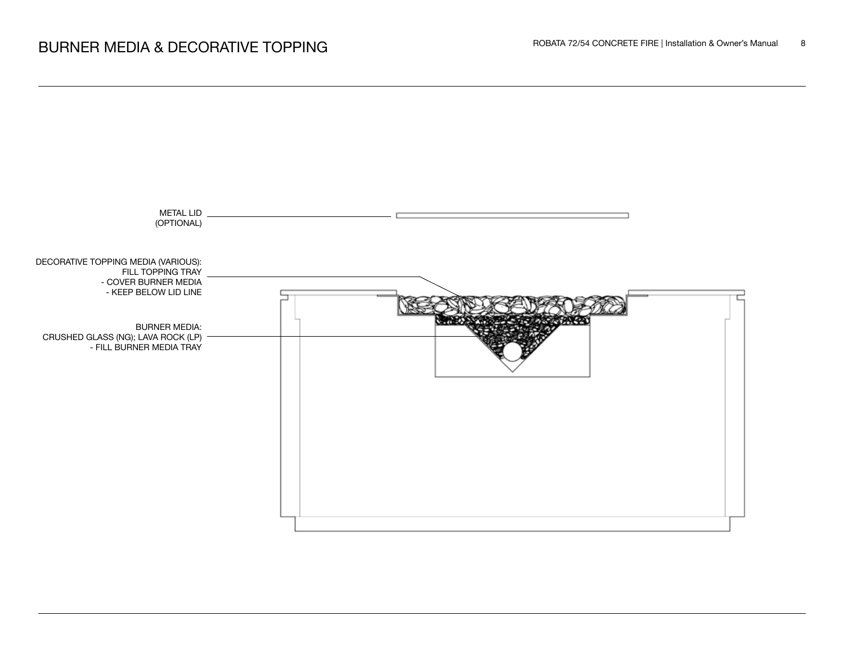

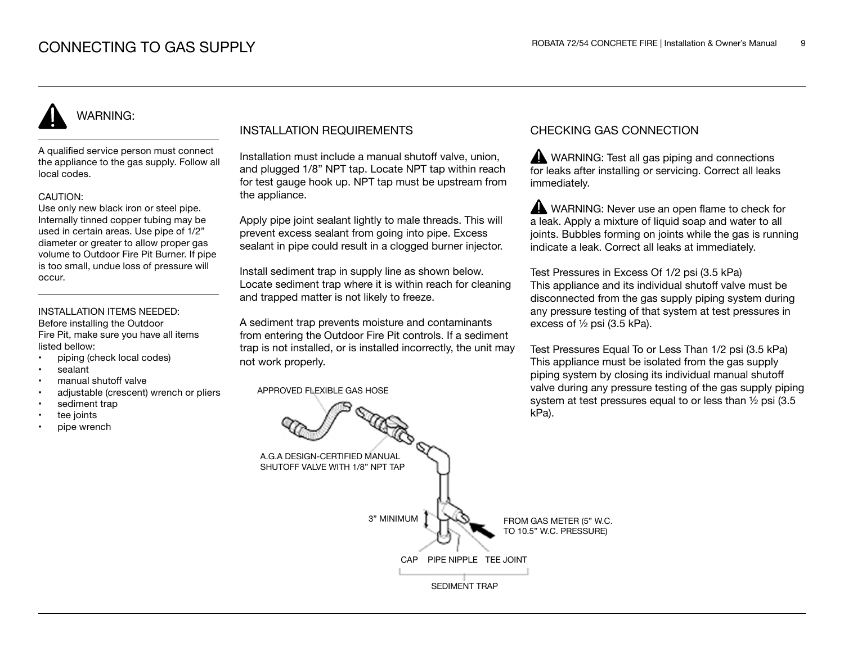# WARNING:

A qualified service person must connect the appliance to the gas supply. Follow all local codes.

#### CAUTION:

Use only new black iron or steel pipe. Internally tinned copper tubing may be used in certain areas. Use pipe of 1/2" diameter or greater to allow proper gas volume to Outdoor Fire Pit Burner. If pipe is too small, undue loss of pressure will occur.

#### INSTALLATION ITEMS NEEDED: Before installing the Outdoor

Fire Pit, make sure you have all items listed bellow:

- piping (check local codes)
- sealant
- manual shutoff valve
- adjustable (crescent) wrench or pliers
- sediment trap
- tee joints
- pipe wrench

## INSTALLATION REQUIREMENTS

Installation must include a manual shutoff valve, union, and plugged 1/8" NPT tap. Locate NPT tap within reach for test gauge hook up. NPT tap must be upstream from the appliance.

Apply pipe joint sealant lightly to male threads. This will prevent excess sealant from going into pipe. Excess sealant in pipe could result in a clogged burner injector.

Install sediment trap in supply line as shown below. Locate sediment trap where it is within reach for cleaning and trapped matter is not likely to freeze.

A sediment trap prevents moisture and contaminants from entering the Outdoor Fire Pit controls. If a sediment trap is not installed, or is installed incorrectly, the unit may not work properly.

APPROVED FLEXIBLE GAS HOSE

## CHECKING GAS CONNECTION

WARNING: Test all gas piping and connections for leaks after installing or servicing. Correct all leaks immediately.

WARNING: Never use an open flame to check for a leak. Apply a mixture of liquid soap and water to all joints. Bubbles forming on joints while the gas is running indicate a leak. Correct all leaks at immediately.

Test Pressures in Excess Of 1/2 psi (3.5 kPa) This appliance and its individual shutoff valve must be disconnected from the gas supply piping system during any pressure testing of that system at test pressures in excess of ½ psi (3.5 kPa).

Test Pressures Equal To or Less Than 1/2 psi (3.5 kPa) This appliance must be isolated from the gas supply piping system by closing its individual manual shutoff valve during any pressure testing of the gas supply piping system at test pressures equal to or less than ½ psi (3.5 kPa).

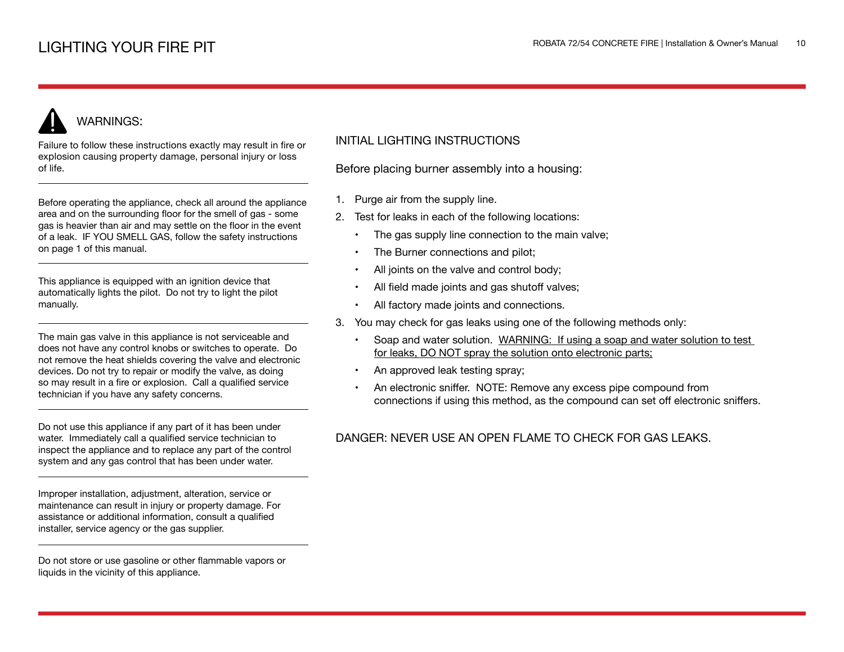# WARNINGS:

Failure to follow these instructions exactly may result in fire or explosion causing property damage, personal injury or loss of life.

Before operating the appliance, check all around the appliance area and on the surrounding floor for the smell of gas - some gas is heavier than air and may settle on the floor in the event of a leak. IF YOU SMELL GAS, follow the safety instructions on page 1 of this manual.

This appliance is equipped with an ignition device that automatically lights the pilot. Do not try to light the pilot manually.

The main gas valve in this appliance is not serviceable and does not have any control knobs or switches to operate. Do not remove the heat shields covering the valve and electronic devices. Do not try to repair or modify the valve, as doing so may result in a fire or explosion. Call a qualified service technician if you have any safety concerns.

Do not use this appliance if any part of it has been under water. Immediately call a qualified service technician to inspect the appliance and to replace any part of the control system and any gas control that has been under water.

Improper installation, adjustment, alteration, service or maintenance can result in injury or property damage. For assistance or additional information, consult a qualified installer, service agency or the gas supplier.

Do not store or use gasoline or other flammable vapors or liquids in the vicinity of this appliance.

## INITIAL LIGHTING INSTRUCTIONS

Before placing burner assembly into a housing:

- 1. Purge air from the supply line.
- 2. Test for leaks in each of the following locations:
	- The gas supply line connection to the main valve;
	- The Burner connections and pilot;
	- All joints on the valve and control body;
	- All field made joints and gas shutoff valves;
	- All factory made joints and connections.
- 3. You may check for gas leaks using one of the following methods only:
	- Soap and water solution. WARNING: If using a soap and water solution to test for leaks, DO NOT spray the solution onto electronic parts;
	- An approved leak testing spray;
	- An electronic sniffer. NOTE: Remove any excess pipe compound from connections if using this method, as the compound can set off electronic sniffers.

## DANGER: NEVER USE AN OPEN FLAME TO CHECK FOR GAS LEAKS.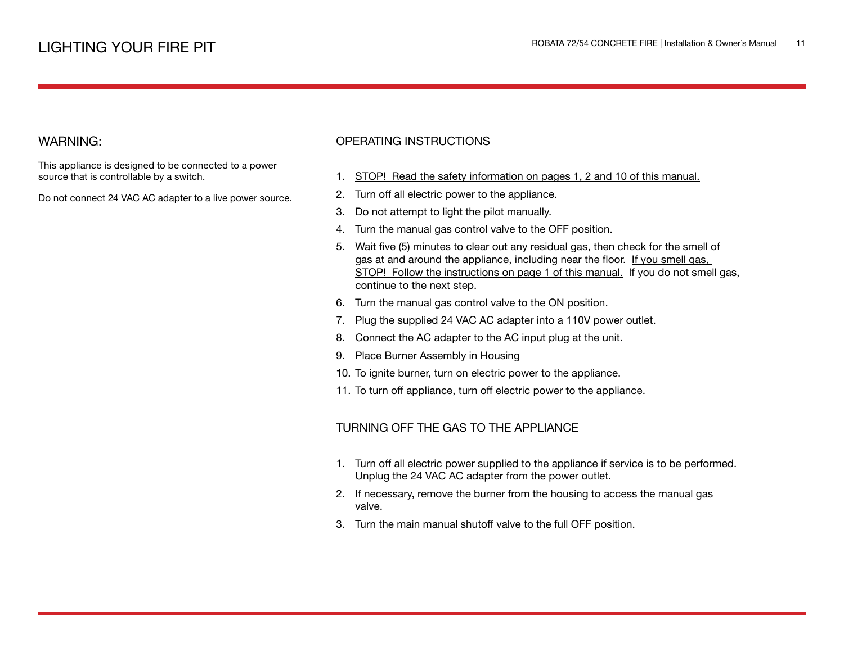## WARNING:

This appliance is designed to be connected to a power source that is controllable by a switch.

Do not connect 24 VAC AC adapter to a live power source.

### OPERATING INSTRUCTIONS

- 1. STOP! Read the safety information on pages 1, 2 and 10 of this manual.
- 2. Turn off all electric power to the appliance.
- 3. Do not attempt to light the pilot manually.
- 4. Turn the manual gas control valve to the OFF position.
- 5. Wait five (5) minutes to clear out any residual gas, then check for the smell of gas at and around the appliance, including near the floor. If you smell gas, STOP! Follow the instructions on page 1 of this manual. If you do not smell gas, continue to the next step.
- 6. Turn the manual gas control valve to the ON position.
- 7. Plug the supplied 24 VAC AC adapter into a 110V power outlet.
- 8. Connect the AC adapter to the AC input plug at the unit.
- 9. Place Burner Assembly in Housing
- 10. To ignite burner, turn on electric power to the appliance.
- 11. To turn off appliance, turn off electric power to the appliance.

### TURNING OFF THE GAS TO THE APPLIANCE

- 1. Turn off all electric power supplied to the appliance if service is to be performed. Unplug the 24 VAC AC adapter from the power outlet.
- 2. If necessary, remove the burner from the housing to access the manual gas valve.
- 3. Turn the main manual shutoff valve to the full OFF position.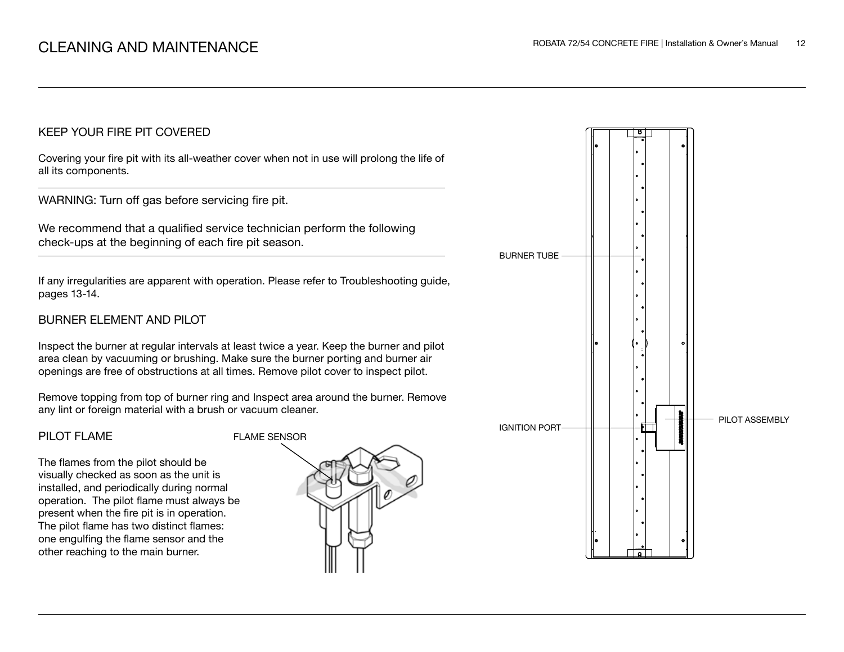## KEEP YOUR FIRE PIT COVERED

Covering your fire pit with its all-weather cover when not in use will prolong the life of all its components.

WARNING: Turn off gas before servicing fire pit.

We recommend that a qualified service technician perform the following check-ups at the beginning of each fire pit season.

If any irregularities are apparent with operation. Please refer to Troubleshooting guide, pages 13-14.

# BURNER ELEMENT AND PILOT

Inspect the burner at regular intervals at least twice a year. Keep the burner and pilot area clean by vacuuming or brushing. Make sure the burner porting and burner air openings are free of obstructions at all times. Remove pilot cover to inspect pilot.

Remove topping from top of burner ring and Inspect area around the burner. Remove any lint or foreign material with a brush or vacuum cleaner.

## PILOT FLAME

The flames from the pilot should be visually checked as soon as the unit is installed, and periodically during normal operation. The pilot flame must always be present when the fire pit is in operation. The pilot flame has two distinct flames: one engulfing the flame sensor and the other reaching to the main burner.



![](_page_11_Figure_13.jpeg)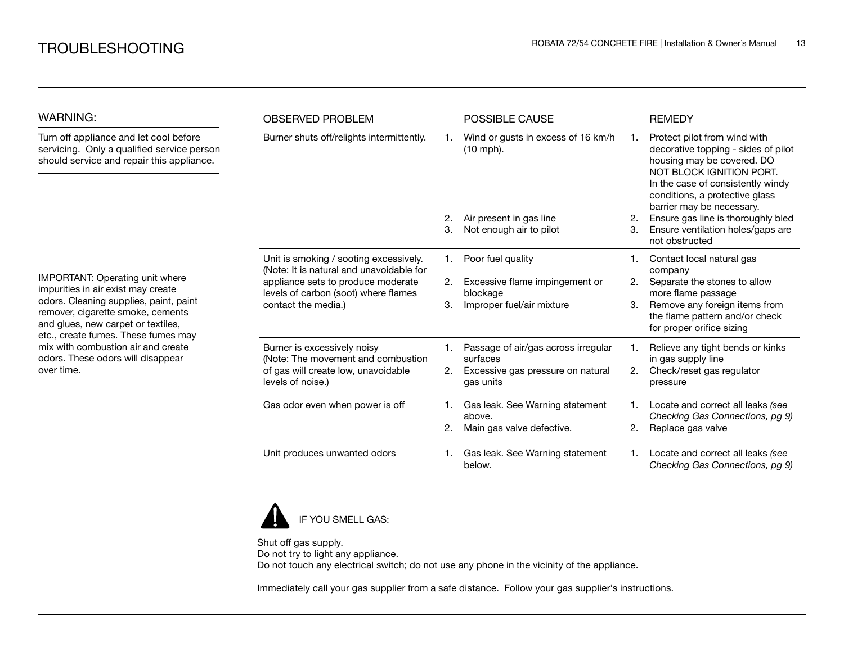| WARNING:                                                                                                                                                                                                                                                                                                                   | <b>OBSERVED PROBLEM</b>                                                                                                                                                                 |    | <b>POSSIBLE CAUSE</b>                             |         | <b>REMEDY</b>                                                                                                                                                                                                                     |
|----------------------------------------------------------------------------------------------------------------------------------------------------------------------------------------------------------------------------------------------------------------------------------------------------------------------------|-----------------------------------------------------------------------------------------------------------------------------------------------------------------------------------------|----|---------------------------------------------------|---------|-----------------------------------------------------------------------------------------------------------------------------------------------------------------------------------------------------------------------------------|
| Turn off appliance and let cool before<br>servicing. Only a qualified service person<br>should service and repair this appliance.                                                                                                                                                                                          | Burner shuts off/relights intermittently.                                                                                                                                               |    | Wind or gusts in excess of 16 km/h<br>$(10$ mph). |         | Protect pilot from wind with<br>decorative topping - sides of pilot<br>housing may be covered. DO<br>NOT BLOCK IGNITION PORT.<br>In the case of consistently windy<br>conditions, a protective glass<br>barrier may be necessary. |
|                                                                                                                                                                                                                                                                                                                            |                                                                                                                                                                                         | 2. | Air present in gas line                           | 2.      | Ensure gas line is thoroughly bled                                                                                                                                                                                                |
|                                                                                                                                                                                                                                                                                                                            |                                                                                                                                                                                         | 3. | Not enough air to pilot                           | 3.      | Ensure ventilation holes/gaps are<br>not obstructed                                                                                                                                                                               |
|                                                                                                                                                                                                                                                                                                                            | Unit is smoking / sooting excessively.<br>(Note: It is natural and unavoidable for<br>appliance sets to produce moderate<br>levels of carbon (soot) where flames<br>contact the media.) | 1. | Poor fuel quality                                 |         | Contact local natural gas<br>company                                                                                                                                                                                              |
| IMPORTANT: Operating unit where<br>impurities in air exist may create<br>odors. Cleaning supplies, paint, paint<br>remover, cigarette smoke, cements<br>and glues, new carpet or textiles,<br>etc., create fumes. These fumes may<br>mix with combustion air and create<br>odors. These odors will disappear<br>over time. |                                                                                                                                                                                         | 2. | Excessive flame impingement or<br>blockage        | 2.      | Separate the stones to allow<br>more flame passage                                                                                                                                                                                |
|                                                                                                                                                                                                                                                                                                                            |                                                                                                                                                                                         | 3. | Improper fuel/air mixture                         | 3.      | Remove any foreign items from<br>the flame pattern and/or check<br>for proper orifice sizing                                                                                                                                      |
|                                                                                                                                                                                                                                                                                                                            | Burner is excessively noisy<br>(Note: The movement and combustion                                                                                                                       |    | Passage of air/gas across irregular<br>surfaces   |         | Relieve any tight bends or kinks<br>in gas supply line                                                                                                                                                                            |
|                                                                                                                                                                                                                                                                                                                            | of gas will create low, unavoidable<br>levels of noise.)                                                                                                                                | 2. | Excessive gas pressure on natural<br>gas units    | 2.      | Check/reset gas regulator<br>pressure                                                                                                                                                                                             |
|                                                                                                                                                                                                                                                                                                                            | Gas odor even when power is off                                                                                                                                                         | 1. | Gas leak. See Warning statement<br>above.         | $1_{-}$ | Locate and correct all leaks (see<br>Checking Gas Connections, pg 9)                                                                                                                                                              |
|                                                                                                                                                                                                                                                                                                                            |                                                                                                                                                                                         | 2. | Main gas valve defective.                         | 2.      | Replace gas valve                                                                                                                                                                                                                 |
|                                                                                                                                                                                                                                                                                                                            | Unit produces unwanted odors                                                                                                                                                            | 1. | Gas leak. See Warning statement<br>below.         | 1.      | Locate and correct all leaks (see<br>Checking Gas Connections, pg 9)                                                                                                                                                              |

![](_page_12_Picture_3.jpeg)

Shut off gas supply. Do not try to light any appliance. Do not touch any electrical switch; do not use any phone in the vicinity of the appliance.

Immediately call your gas supplier from a safe distance. Follow your gas supplier's instructions.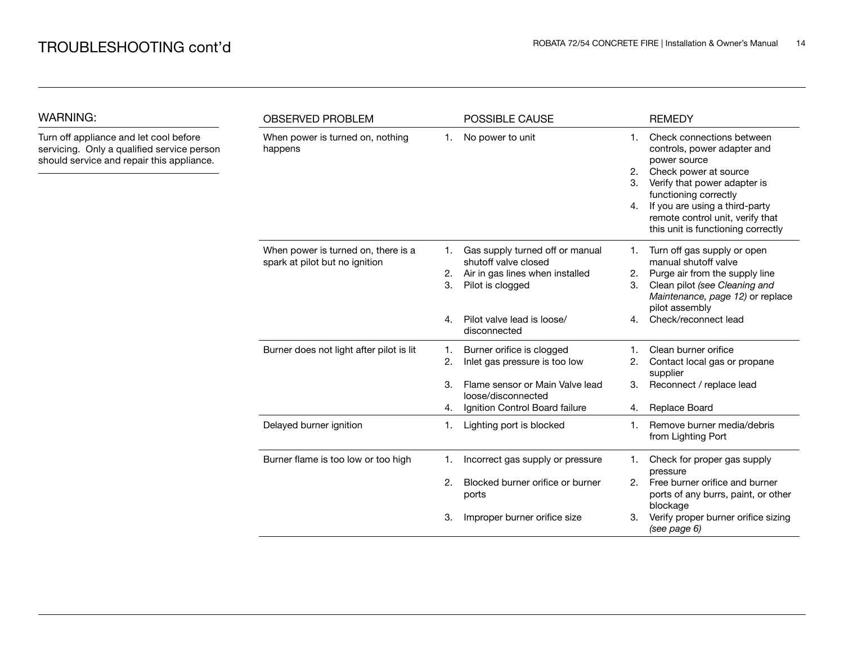WARNING:

| WARNING:                                                                                                                          | <b>OBSERVED PROBLEM</b>                                               |          | POSSIBLE CAUSE                                                                                                 |                | <b>REMEDY</b>                                                                                                                                                                                                                                                          |
|-----------------------------------------------------------------------------------------------------------------------------------|-----------------------------------------------------------------------|----------|----------------------------------------------------------------------------------------------------------------|----------------|------------------------------------------------------------------------------------------------------------------------------------------------------------------------------------------------------------------------------------------------------------------------|
| Turn off appliance and let cool before<br>servicing. Only a qualified service person<br>should service and repair this appliance. | When power is turned on, nothing<br>happens                           | 1.       | No power to unit                                                                                               | 1.<br>2.<br>4. | Check connections between<br>controls, power adapter and<br>power source<br>Check power at source<br>Verify that power adapter is<br>functioning correctly<br>If you are using a third-party<br>remote control unit, verify that<br>this unit is functioning correctly |
|                                                                                                                                   | When power is turned on, there is a<br>spark at pilot but no ignition | 2.<br>3. | Gas supply turned off or manual<br>shutoff valve closed<br>Air in gas lines when installed<br>Pilot is clogged | 1.<br>2.<br>3. | Turn off gas supply or open<br>manual shutoff valve<br>Purge air from the supply line<br>Clean pilot (see Cleaning and<br>Maintenance, page 12) or replace<br>pilot assembly                                                                                           |
|                                                                                                                                   |                                                                       | 4.       | Pilot valve lead is loose/<br>disconnected                                                                     | 4 <sub>1</sub> | Check/reconnect lead                                                                                                                                                                                                                                                   |
|                                                                                                                                   | Burner does not light after pilot is lit                              | 1.<br>2. | Burner orifice is clogged<br>Inlet gas pressure is too low                                                     | 2.             | Clean burner orifice<br>Contact local gas or propane<br>supplier                                                                                                                                                                                                       |
|                                                                                                                                   |                                                                       | 3.<br>4. | Flame sensor or Main Valve lead<br>loose/disconnected<br>Ignition Control Board failure                        | 3.<br>4.       | Reconnect / replace lead<br>Replace Board                                                                                                                                                                                                                              |
|                                                                                                                                   | Delayed burner ignition                                               | 1.       | Lighting port is blocked                                                                                       | 1.             | Remove burner media/debris<br>from Lighting Port                                                                                                                                                                                                                       |
|                                                                                                                                   | Burner flame is too low or too high                                   | 1.       | Incorrect gas supply or pressure                                                                               | 1.             | Check for proper gas supply<br>pressure                                                                                                                                                                                                                                |
|                                                                                                                                   |                                                                       | 2.       | Blocked burner orifice or burner<br>ports                                                                      | 2.             | Free burner orifice and burner<br>ports of any burrs, paint, or other<br>blockage                                                                                                                                                                                      |
|                                                                                                                                   |                                                                       | 3.       | Improper burner orifice size                                                                                   | З.             | Verify proper burner orifice sizing<br>(see page 6)                                                                                                                                                                                                                    |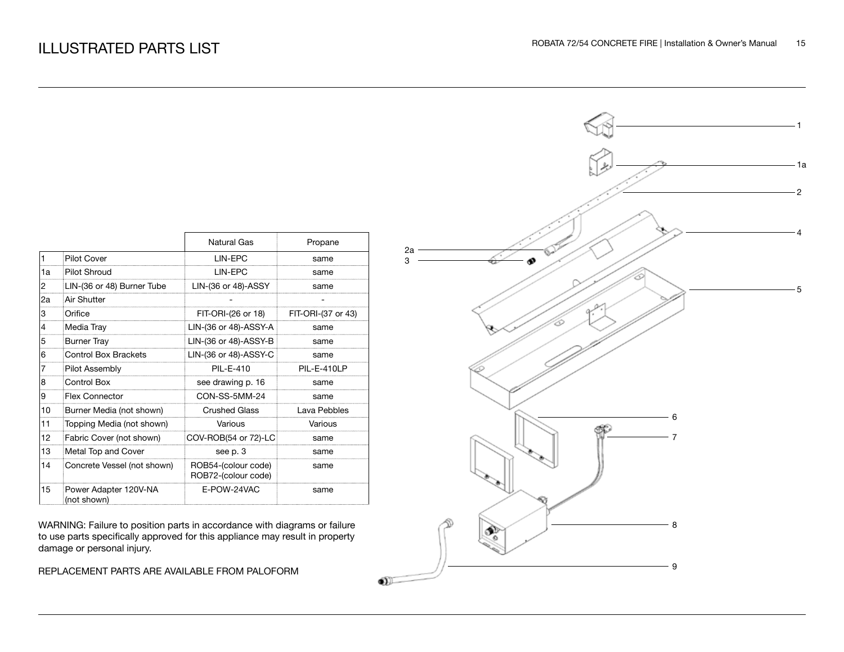|    |                                      | Natural Gas                                | Propane            |
|----|--------------------------------------|--------------------------------------------|--------------------|
| 1  | <b>Pilot Cover</b>                   | <b>I IN-FPC</b>                            | same               |
| 1a | Pilot Shroud                         | LIN-EPC                                    | same               |
| 2  | LIN-(36 or 48) Burner Tube           | $LIN-(36$ or 48)-ASSY                      | same               |
| 2a | Air Shutter                          |                                            |                    |
| 3  | Orifice                              | FIT-ORI-(26 or 18)                         | FIT-ORI-(37 or 43) |
| 4  | Media Tray                           | LIN-(36 or 48)-ASSY-A                      | same               |
| 5  | <b>Burner Tray</b>                   | LIN-(36 or 48)-ASSY-B                      | same               |
| 6  | <b>Control Box Brackets</b>          | LIN-(36 or 48)-ASSY-C                      | same               |
| 7  | <b>Pilot Assembly</b>                | PII-F-410                                  | PIL-E-410LP        |
| 8  | Control Box                          | see drawing p. 16                          | same               |
| 9  | <b>Flex Connector</b>                | CON-SS-5MM-24                              | same               |
| 10 | Burner Media (not shown)             | <b>Crushed Glass</b>                       | Lava Pebbles       |
| 11 | Topping Media (not shown)            | Various                                    | Various            |
| 12 | Fabric Cover (not shown)             | COV-ROB(54 or 72)-LC                       | same               |
| 13 | Metal Top and Cover                  | see p. 3                                   | same               |
| 14 | Concrete Vessel (not shown)          | ROB54-(colour code)<br>ROB72-(colour code) | same               |
| 15 | Power Adapter 120V-NA<br>(not shown) | F-POW-24VAC                                | same               |

WARNING: Failure to position parts in accordance with diagrams or failure to use parts specifically approved for this appliance may result in property damage or personal injury.

REPLACEMENT PARTS ARE AVAILABLE FROM PALOFORM

![](_page_14_Figure_5.jpeg)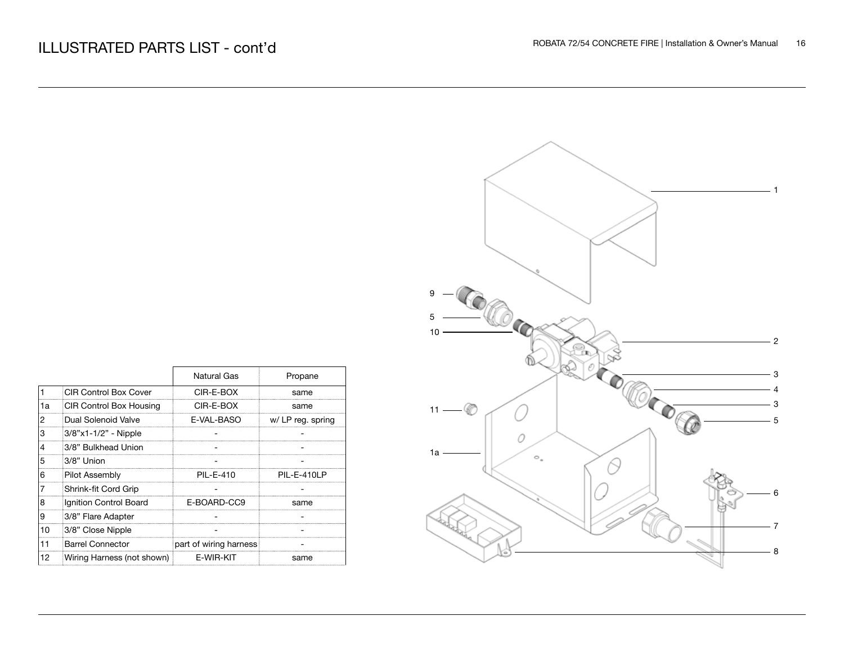|    |                                | Natural Gas            | Propane           |
|----|--------------------------------|------------------------|-------------------|
|    | <b>CIR Control Box Cover</b>   | CIR-E-BOX              | same              |
| 1a | <b>CIR Control Box Housing</b> | CIR-E-BOX              | same              |
| 2  | Dual Solenoid Valve            | E-VAL-BASO             | w/ LP reg. spring |
| 3  | 3/8"x1-1/2" - Nipple           |                        |                   |
| 4  | 3/8" Bulkhead Union            |                        |                   |
| 5  | 3/8" Union                     |                        |                   |
| 6  | <b>Pilot Assembly</b>          | PII-F-410              | PIL-E-410LP       |
| 7  | Shrink-fit Cord Grip           |                        |                   |
| 8  | Ignition Control Board         | E-BOARD-CC9            | same              |
| 9  | 3/8" Flare Adapter             |                        |                   |
| 10 | 3/8" Close Nipple              |                        |                   |
| 11 | <b>Barrel Connector</b>        | part of wiring harness |                   |
| 12 | Wiring Harness (not shown)     | F-WIR-KIT              | same              |

![](_page_15_Figure_3.jpeg)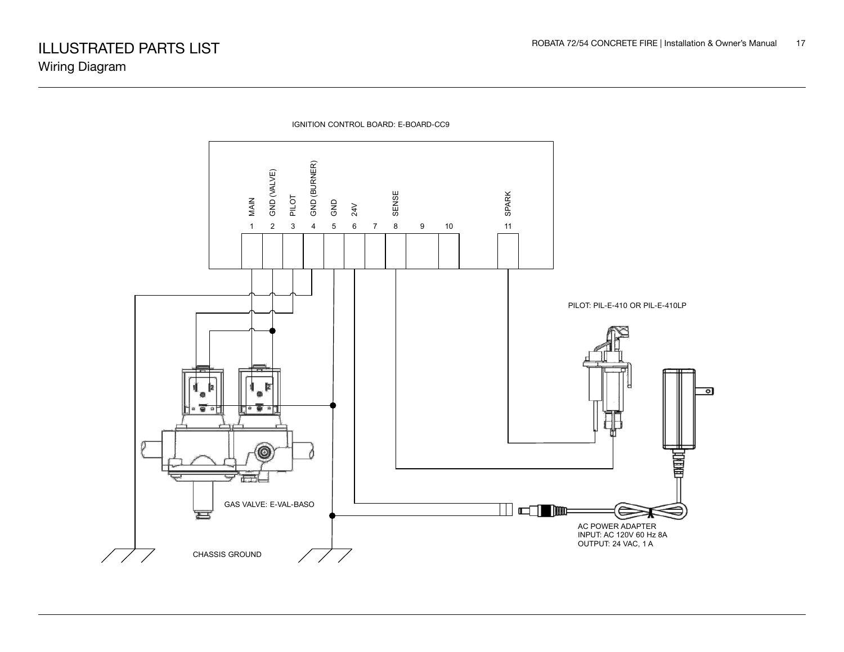![](_page_16_Figure_2.jpeg)

IGNITION CONTROL BOARD: E-BOARD-CC9